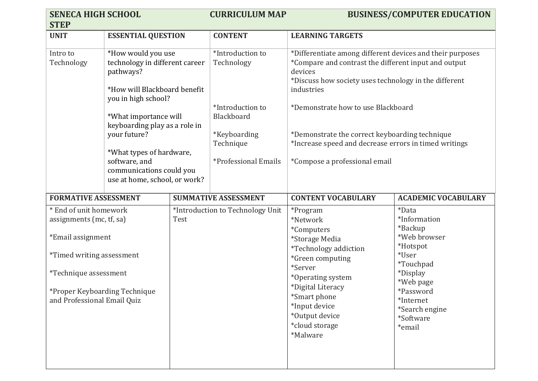| <b>SENECA HIGH SCHOOL</b>                                                                                                                                                                            |                                                                                                                                                                                                                                                                             |      | <b>CURRICULUM MAP</b>                                                                                                 |                                                                                                                                                                                                                                                                                                                                                                                       | <b>BUSINESS/COMPUTER EDUCATION</b>                                                                                                                                                           |  |
|------------------------------------------------------------------------------------------------------------------------------------------------------------------------------------------------------|-----------------------------------------------------------------------------------------------------------------------------------------------------------------------------------------------------------------------------------------------------------------------------|------|-----------------------------------------------------------------------------------------------------------------------|---------------------------------------------------------------------------------------------------------------------------------------------------------------------------------------------------------------------------------------------------------------------------------------------------------------------------------------------------------------------------------------|----------------------------------------------------------------------------------------------------------------------------------------------------------------------------------------------|--|
| <b>STEP</b>                                                                                                                                                                                          |                                                                                                                                                                                                                                                                             |      |                                                                                                                       |                                                                                                                                                                                                                                                                                                                                                                                       |                                                                                                                                                                                              |  |
| <b>UNIT</b>                                                                                                                                                                                          | <b>ESSENTIAL QUESTION</b>                                                                                                                                                                                                                                                   |      | <b>CONTENT</b>                                                                                                        | <b>LEARNING TARGETS</b>                                                                                                                                                                                                                                                                                                                                                               |                                                                                                                                                                                              |  |
| Intro to<br>Technology                                                                                                                                                                               | *How would you use<br>technology in different career<br>pathways?<br>*How will Blackboard benefit<br>you in high school?<br>*What importance will<br>keyboarding play as a role in<br>your future?<br>*What types of hardware,<br>software, and<br>communications could you |      | *Introduction to<br>Technology<br>*Introduction to<br>Blackboard<br>*Keyboarding<br>Technique<br>*Professional Emails | *Differentiate among different devices and their purposes<br>*Compare and contrast the different input and output<br>devices<br>*Discuss how society uses technology in the different<br>industries<br>*Demonstrate how to use Blackboard<br>*Demonstrate the correct keyboarding technique<br>*Increase speed and decrease errors in timed writings<br>*Compose a professional email |                                                                                                                                                                                              |  |
|                                                                                                                                                                                                      | use at home, school, or work?                                                                                                                                                                                                                                               |      |                                                                                                                       |                                                                                                                                                                                                                                                                                                                                                                                       |                                                                                                                                                                                              |  |
| <b>FORMATIVE ASSESSMENT</b>                                                                                                                                                                          |                                                                                                                                                                                                                                                                             |      | <b>SUMMATIVE ASSESSMENT</b><br><b>CONTENT VOCABULARY</b>                                                              |                                                                                                                                                                                                                                                                                                                                                                                       | <b>ACADEMIC VOCABULARY</b>                                                                                                                                                                   |  |
| * End of unit homework<br>assignments (mc, tf, sa)<br>*Email assignment<br><i>*Timed writing assessment</i><br>*Technique assessment<br>*Proper Keyboarding Technique<br>and Professional Email Quiz |                                                                                                                                                                                                                                                                             | Test | *Introduction to Technology Unit                                                                                      | *Program<br>*Network<br><i>*Computers</i><br>*Storage Media<br><i>*Technology addiction</i><br>*Green computing<br>*Server<br>*Operating system<br>*Digital Literacy<br>*Smart phone<br>*Input device<br>*Output device<br>*cloud storage<br>*Malware                                                                                                                                 | <i>*Data</i><br>*Information<br>*Backup<br>*Web browser<br>*Hotspot<br>*User<br><i>*Touchpad</i><br>*Display<br>*Web page<br>*Password<br>*Internet<br>*Search engine<br>*Software<br>*email |  |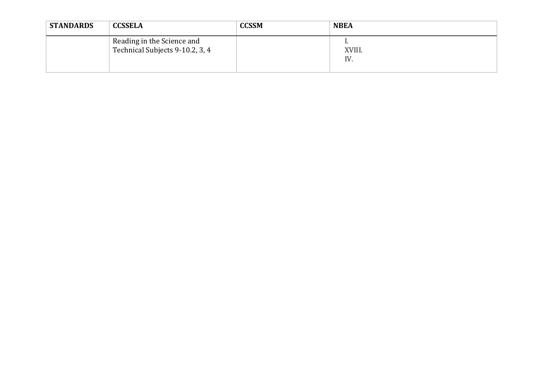| <b>STANDARDS</b> | <b>CCSSELA</b>                                                | <b>CCSSM</b> | <b>NBEA</b>   |
|------------------|---------------------------------------------------------------|--------------|---------------|
|                  | Reading in the Science and<br>Technical Subjects 9-10.2, 3, 4 |              | XVIII.<br>IV. |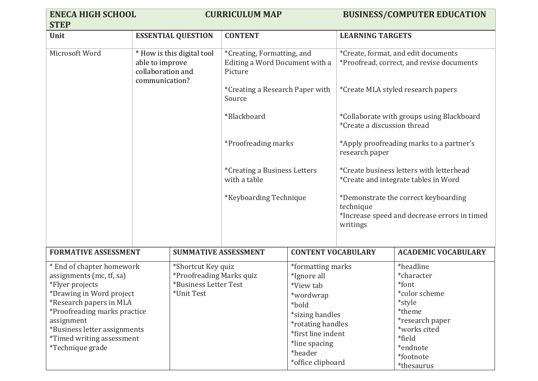| <b>ENECA HIGH SCHOOL</b><br><b>STEP</b>                                                                                                                                                                                                                                      |                                                                                       | <b>CURRICULUM MAP</b>                                                                                                                                                              |                                     | <b>BUSINESS/COMPUTER EDUCATION</b>                                                                                                                        |                                                                                      |  |
|------------------------------------------------------------------------------------------------------------------------------------------------------------------------------------------------------------------------------------------------------------------------------|---------------------------------------------------------------------------------------|------------------------------------------------------------------------------------------------------------------------------------------------------------------------------------|-------------------------------------|-----------------------------------------------------------------------------------------------------------------------------------------------------------|--------------------------------------------------------------------------------------|--|
| Unit                                                                                                                                                                                                                                                                         | <b>ESSENTIAL QUESTION</b>                                                             | <b>CONTENT</b>                                                                                                                                                                     |                                     | <b>LEARNING TARGETS</b>                                                                                                                                   |                                                                                      |  |
| Microsoft Word                                                                                                                                                                                                                                                               | * How is this digital tool<br>able to improve<br>collaboration and<br>communication?  | *Creating, Formatting, and<br>Editing a Word Document with a<br>Picture                                                                                                            |                                     | *Create, format, and edit documents<br>*Proofread, correct, and revise documents                                                                          |                                                                                      |  |
|                                                                                                                                                                                                                                                                              |                                                                                       | *Creating a Research Paper with<br>Source                                                                                                                                          |                                     |                                                                                                                                                           | *Create MLA styled research papers                                                   |  |
|                                                                                                                                                                                                                                                                              |                                                                                       | *Blackboard                                                                                                                                                                        |                                     | *Create a discussion thread                                                                                                                               | *Collaborate with groups using Blackboard                                            |  |
|                                                                                                                                                                                                                                                                              |                                                                                       |                                                                                                                                                                                    | *Proofreading marks                 |                                                                                                                                                           | *Apply proofreading marks to a partner's<br>research paper                           |  |
|                                                                                                                                                                                                                                                                              |                                                                                       | with a table                                                                                                                                                                       | <i>*Creating a Business Letters</i> |                                                                                                                                                           | *Create business letters with letterhead<br>*Create and integrate tables in Word     |  |
|                                                                                                                                                                                                                                                                              |                                                                                       | *Keyboarding Technique                                                                                                                                                             |                                     | technique<br>writings                                                                                                                                     | *Demonstrate the correct keyboarding<br>*Increase speed and decrease errors in timed |  |
| <b>FORMATIVE ASSESSMENT</b>                                                                                                                                                                                                                                                  |                                                                                       | <b>SUMMATIVE ASSESSMENT</b>                                                                                                                                                        |                                     | <b>CONTENT VOCABULARY</b>                                                                                                                                 | <b>ACADEMIC VOCABULARY</b>                                                           |  |
| * End of chapter homework<br>assignments (mc, tf, sa)<br>*Flyer projects<br>*Drawing in Word project<br>*Research papers in MLA<br>*Proofreading marks practice<br>assignment<br>*Business letter assignments<br><i>*Timed writing assessment</i><br><i>*Technique grade</i> | *Shortcut Key quiz<br>*Proofreading Marks quiz<br>*Business Letter Test<br>*Unit Test | *formatting marks<br>*Ignore all<br>*View tab<br>*wordwrap<br>*bold<br>*sizing handles<br>*rotating handles<br>*first line indent<br>*line spacing<br>*header<br>*office clipboard |                                     | *headline<br>*character<br>*font<br>*color scheme<br>*style<br>*theme<br>*research paper<br>*works cited<br>*field<br>*endnote<br>*footnote<br>*thesaurus |                                                                                      |  |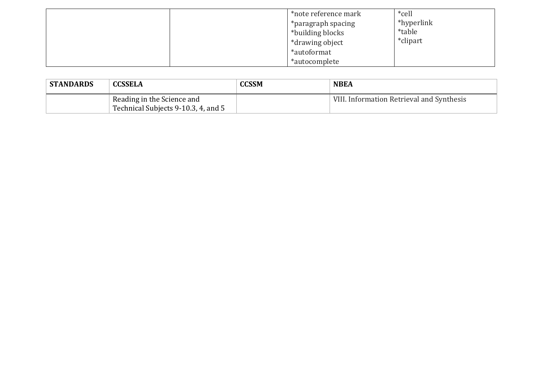|  | *note reference mark<br>*paragraph spacing<br>*building blocks<br>*drawing object<br>*autoformat<br>*autocomplete | *cell<br>*hyperlink<br><i>*table</i><br>*clipart |
|--|-------------------------------------------------------------------------------------------------------------------|--------------------------------------------------|
|--|-------------------------------------------------------------------------------------------------------------------|--------------------------------------------------|

| <b>STANDARDS</b> | <b>CCSSELA</b>                      | <b>CCSSM</b> | <b>NBEA</b>                               |
|------------------|-------------------------------------|--------------|-------------------------------------------|
|                  | Reading in the Science and          |              | VIII. Information Retrieval and Synthesis |
|                  | Technical Subjects 9-10.3, 4, and 5 |              |                                           |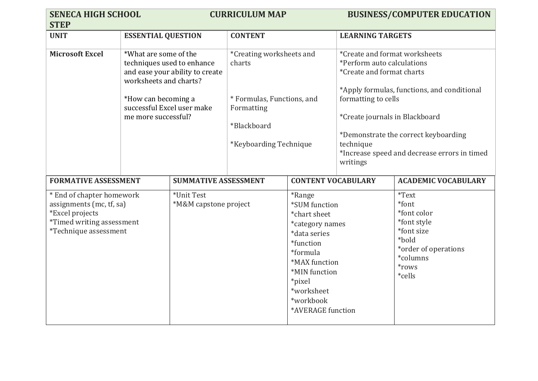| <b>SENECA HIGH SCHOOL</b>                                                                                                             |                                                                                                                             | <b>CURRICULUM MAP</b>                                         |                                                                                                                         |                                                                                                                                                                                                        | <b>BUSINESS/COMPUTER EDUCATION</b>                                                                                                                                                                                                                                                                                |                                                                                                                                    |
|---------------------------------------------------------------------------------------------------------------------------------------|-----------------------------------------------------------------------------------------------------------------------------|---------------------------------------------------------------|-------------------------------------------------------------------------------------------------------------------------|--------------------------------------------------------------------------------------------------------------------------------------------------------------------------------------------------------|-------------------------------------------------------------------------------------------------------------------------------------------------------------------------------------------------------------------------------------------------------------------------------------------------------------------|------------------------------------------------------------------------------------------------------------------------------------|
| <b>STEP</b>                                                                                                                           |                                                                                                                             |                                                               |                                                                                                                         |                                                                                                                                                                                                        |                                                                                                                                                                                                                                                                                                                   |                                                                                                                                    |
| <b>UNIT</b>                                                                                                                           | <b>ESSENTIAL QUESTION</b>                                                                                                   |                                                               | <b>CONTENT</b>                                                                                                          |                                                                                                                                                                                                        | <b>LEARNING TARGETS</b>                                                                                                                                                                                                                                                                                           |                                                                                                                                    |
| <b>Microsoft Excel</b>                                                                                                                | *What are some of the<br>worksheets and charts?<br>*How can becoming a<br>successful Excel user make<br>me more successful? | techniques used to enhance<br>and ease your ability to create | *Creating worksheets and<br>charts<br>* Formulas, Functions, and<br>Formatting<br>*Blackboard<br>*Keyboarding Technique |                                                                                                                                                                                                        | *Create and format worksheets<br>*Perform auto calculations<br>*Create and format charts<br>*Apply formulas, functions, and conditional<br>formatting to cells<br>*Create journals in Blackboard<br>*Demonstrate the correct keyboarding<br>technique<br>*Increase speed and decrease errors in timed<br>writings |                                                                                                                                    |
| <b>FORMATIVE ASSESSMENT</b>                                                                                                           |                                                                                                                             |                                                               | <b>SUMMATIVE ASSESSMENT</b>                                                                                             |                                                                                                                                                                                                        | <b>CONTENT VOCABULARY</b>                                                                                                                                                                                                                                                                                         | <b>ACADEMIC VOCABULARY</b>                                                                                                         |
| * End of chapter homework<br>assignments (mc, tf, sa)<br>*Excel projects<br><i>*Timed writing assessment</i><br>*Technique assessment |                                                                                                                             | *Unit Test<br>*M&M capstone project                           |                                                                                                                         | <i>*Range</i><br>*SUM function<br>*chart sheet<br>*category names<br>*data series<br>*function<br>*formula<br>*MAX function<br>*MIN function<br>*pixel<br>*worksheet<br>*workbook<br>*AVERAGE function |                                                                                                                                                                                                                                                                                                                   | <i>*</i> Text<br>*font<br>*font color<br>*font style<br>*font size<br>*bold<br>*order of operations<br>*columns<br>*rows<br>*cells |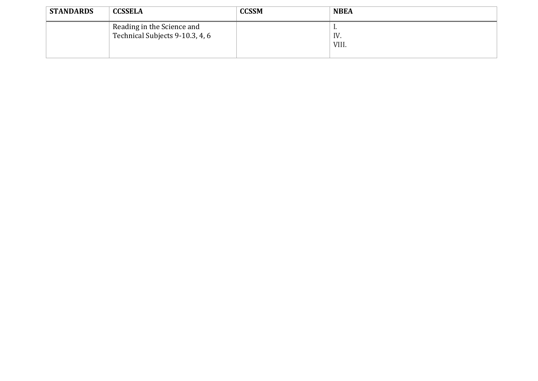| <b>STANDARDS</b> | <b>CCSSELA</b>                                                | <b>CCSSM</b> | <b>NBEA</b>       |
|------------------|---------------------------------------------------------------|--------------|-------------------|
|                  | Reading in the Science and<br>Technical Subjects 9-10.3, 4, 6 |              | .<br>IV.<br>VIII. |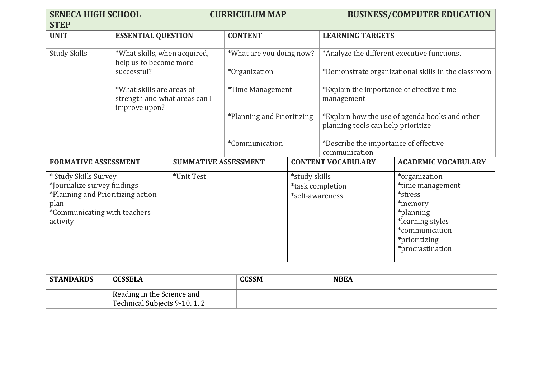| <b>SENECA HIGH SCHOOL</b><br><b>STEP</b> |                                                                             |                             | <b>CURRICULUM MAP</b>      |                  |                                                                                      | <b>BUSINESS/COMPUTER EDUCATION</b>                  |
|------------------------------------------|-----------------------------------------------------------------------------|-----------------------------|----------------------------|------------------|--------------------------------------------------------------------------------------|-----------------------------------------------------|
| <b>UNIT</b>                              |                                                                             | <b>ESSENTIAL QUESTION</b>   |                            | <b>CONTENT</b>   |                                                                                      | <b>LEARNING TARGETS</b>                             |
| <b>Study Skills</b>                      | *What skills, when acquired,<br>help us to become more                      |                             | *What are you doing now?   |                  | *Analyze the different executive functions.                                          |                                                     |
|                                          | successful?                                                                 |                             | <i>*Organization</i>       |                  |                                                                                      | *Demonstrate organizational skills in the classroom |
|                                          | *What skills are areas of<br>strength and what areas can I<br>improve upon? |                             | <i>*Time Management</i>    |                  | *Explain the importance of effective time<br>management                              |                                                     |
|                                          |                                                                             |                             | *Planning and Prioritizing |                  | *Explain how the use of agenda books and other<br>planning tools can help prioritize |                                                     |
|                                          |                                                                             |                             | *Communication             |                  | *Describe the importance of effective<br>communication                               |                                                     |
| <b>FORMATIVE ASSESSMENT</b>              |                                                                             | <b>SUMMATIVE ASSESSMENT</b> |                            |                  | <b>CONTENT VOCABULARY</b>                                                            | <b>ACADEMIC VOCABULARY</b>                          |
| * Study Skills Survey                    |                                                                             | *Unit Test                  |                            | *study skills    |                                                                                      | *organization                                       |
| *Journalize survey findings              |                                                                             |                             |                            | *task completion |                                                                                      | *time management                                    |
| *Planning and Prioritizing action        |                                                                             |                             |                            | *self-awareness  |                                                                                      | *stress                                             |
| plan                                     |                                                                             |                             |                            |                  |                                                                                      | *memory                                             |
| *Communicating with teachers<br>activity |                                                                             |                             |                            |                  | *planning<br>*learning styles                                                        |                                                     |
|                                          |                                                                             |                             |                            |                  |                                                                                      | *communication                                      |
|                                          |                                                                             |                             |                            |                  |                                                                                      | *prioritizing                                       |
|                                          |                                                                             |                             |                            |                  |                                                                                      | *procrastination                                    |
|                                          |                                                                             |                             |                            |                  |                                                                                      |                                                     |

| <b>STANDARDS</b> | <b>CCSSELA</b>                                             | <b>CCSSM</b> | <b>NBEA</b> |
|------------------|------------------------------------------------------------|--------------|-------------|
|                  | Reading in the Science and<br>Technical Subjects 9-10.1, 2 |              |             |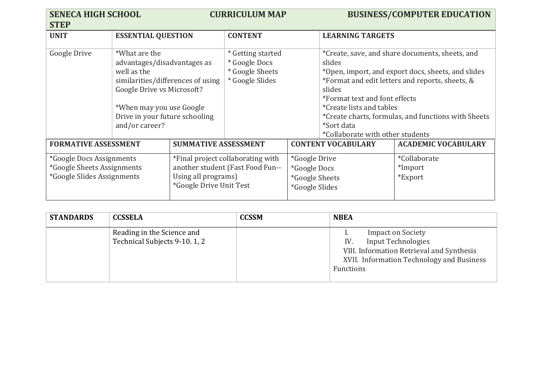| <b>SENECA HIGH SCHOOL</b><br><b>STEP</b>                                                           |                                                                                                                                                                                                                |                                                                                                                         | <b>CURRICULUM MAP</b>                                                    |                                                                                 |                                                                                                                                                                                                                                                                                                                                                           | <b>BUSINESS/COMPUTER EDUCATION</b> |
|----------------------------------------------------------------------------------------------------|----------------------------------------------------------------------------------------------------------------------------------------------------------------------------------------------------------------|-------------------------------------------------------------------------------------------------------------------------|--------------------------------------------------------------------------|---------------------------------------------------------------------------------|-----------------------------------------------------------------------------------------------------------------------------------------------------------------------------------------------------------------------------------------------------------------------------------------------------------------------------------------------------------|------------------------------------|
| <b>UNIT</b>                                                                                        | <b>ESSENTIAL QUESTION</b>                                                                                                                                                                                      |                                                                                                                         | <b>CONTENT</b>                                                           |                                                                                 | <b>LEARNING TARGETS</b>                                                                                                                                                                                                                                                                                                                                   |                                    |
| Google Drive                                                                                       | *What are the<br>advantages/disadvantages as<br>well as the<br>similarities/differences of using<br>Google Drive vs Microsoft?<br>*When may you use Google<br>Drive in your future schooling<br>and/or career? |                                                                                                                         | * Getting started<br>* Google Docs<br>* Google Sheets<br>* Google Slides |                                                                                 | *Create, save, and share documents, sheets, and<br>slides<br>*Open, import, and export docs, sheets, and slides<br>*Format and edit letters and reports, sheets, &<br>slides<br>*Format text and font effects<br><i>*Create lists and tables</i><br>*Create charts, formulas, and functions with Sheets<br>*Sort data<br>*Collaborate with other students |                                    |
| <b>FORMATIVE ASSESSMENT</b>                                                                        |                                                                                                                                                                                                                | <b>SUMMATIVE ASSESSMENT</b>                                                                                             |                                                                          |                                                                                 | <b>CONTENT VOCABULARY</b>                                                                                                                                                                                                                                                                                                                                 | <b>ACADEMIC VOCABULARY</b>         |
| <i>*Google Docs Assignments</i><br>*Google Sheets Assignments<br><i>*Google Slides Assignments</i> |                                                                                                                                                                                                                | *Final project collaborating with<br>another student (Fast Food Fun--<br>Using all programs)<br>*Google Drive Unit Test |                                                                          | <i>*Google Drive</i><br><i>*Google Docs</i><br>*Google Sheets<br>*Google Slides |                                                                                                                                                                                                                                                                                                                                                           | *Collaborate<br>*Import<br>*Export |

| <b>STANDARDS</b> | <b>CCSSELA</b>                                              | <b>CCSSM</b> | <b>NBEA</b>                                                                                                                                                         |
|------------------|-------------------------------------------------------------|--------------|---------------------------------------------------------------------------------------------------------------------------------------------------------------------|
|                  | Reading in the Science and<br>Technical Subjects 9-10. 1, 2 |              | <b>Impact on Society</b><br><b>Input Technologies</b><br>IV.<br>VIII. Information Retrieval and Synthesis<br>XVII. Information Technology and Business<br>Functions |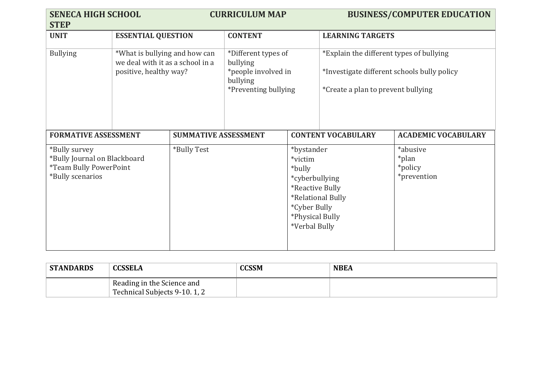| <b>SENECA HIGH SCHOOL</b><br><b>STEP</b>                                                           |                                                                                             | <b>CURRICULUM MAP</b>       |                                                                                            |                                                                                                                          | <b>BUSINESS/COMPUTER EDUCATION</b>                                                                                            |                                             |
|----------------------------------------------------------------------------------------------------|---------------------------------------------------------------------------------------------|-----------------------------|--------------------------------------------------------------------------------------------|--------------------------------------------------------------------------------------------------------------------------|-------------------------------------------------------------------------------------------------------------------------------|---------------------------------------------|
| <b>UNIT</b>                                                                                        | <b>ESSENTIAL QUESTION</b>                                                                   |                             | <b>CONTENT</b>                                                                             |                                                                                                                          | <b>LEARNING TARGETS</b>                                                                                                       |                                             |
| <b>Bullying</b>                                                                                    | *What is bullying and how can<br>we deal with it as a school in a<br>positive, healthy way? |                             | *Different types of<br>bullying<br>*people involved in<br>bullying<br>*Preventing bullying |                                                                                                                          | *Explain the different types of bullying<br>*Investigate different schools bully policy<br>*Create a plan to prevent bullying |                                             |
| <b>FORMATIVE ASSESSMENT</b>                                                                        |                                                                                             | <b>SUMMATIVE ASSESSMENT</b> |                                                                                            |                                                                                                                          | <b>CONTENT VOCABULARY</b>                                                                                                     | <b>ACADEMIC VOCABULARY</b>                  |
| *Bully survey<br>*Bully Journal on Blackboard<br><i>*Team Bully PowerPoint</i><br>*Bully scenarios |                                                                                             | *Bully Test                 |                                                                                            | *bystander<br>*victim<br>*bully<br>*cyberbullying<br>*Reactive Bully<br>*Cyber Bully<br>*Physical Bully<br>*Verbal Bully | *Relational Bully                                                                                                             | *abusive<br>*plan<br>*policy<br>*prevention |

| <b>STANDARDS</b> | <b>CCSSELA</b>                                             | <b>CCSSM</b> | <b>NBEA</b> |
|------------------|------------------------------------------------------------|--------------|-------------|
|                  | Reading in the Science and<br>Technical Subjects 9-10.1, 2 |              |             |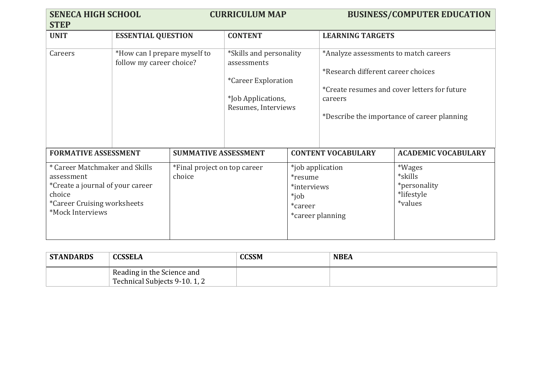| <b>SENECA HIGH SCHOOL</b><br><b>STEP</b>                                                                                                                    |                                                          |                                        | <b>CURRICULUM MAP</b>                                                                                             |                                                                                                 |                                                                                                                                                                                       | <b>BUSINESS/COMPUTER EDUCATION</b>                                |
|-------------------------------------------------------------------------------------------------------------------------------------------------------------|----------------------------------------------------------|----------------------------------------|-------------------------------------------------------------------------------------------------------------------|-------------------------------------------------------------------------------------------------|---------------------------------------------------------------------------------------------------------------------------------------------------------------------------------------|-------------------------------------------------------------------|
| <b>UNIT</b>                                                                                                                                                 | <b>ESSENTIAL QUESTION</b>                                |                                        | <b>CONTENT</b>                                                                                                    |                                                                                                 | <b>LEARNING TARGETS</b>                                                                                                                                                               |                                                                   |
| Careers                                                                                                                                                     | *How can I prepare myself to<br>follow my career choice? |                                        | *Skills and personality<br>assessments<br><i>*Career Exploration</i><br>*Job Applications,<br>Resumes, Interviews |                                                                                                 | *Analyze assessments to match careers<br>*Research different career choices<br>*Create resumes and cover letters for future<br>careers<br>*Describe the importance of career planning |                                                                   |
| <b>FORMATIVE ASSESSMENT</b>                                                                                                                                 |                                                          | <b>SUMMATIVE ASSESSMENT</b>            |                                                                                                                   | <b>CONTENT VOCABULARY</b>                                                                       | <b>ACADEMIC VOCABULARY</b>                                                                                                                                                            |                                                                   |
| * Career Matchmaker and Skills<br>assessment<br><i>*Create a journal of your career</i><br>choice<br><i>*Career Cruising worksheets</i><br>*Mock Interviews |                                                          | *Final project on top career<br>choice |                                                                                                                   | *job application<br><i>*resume</i><br>*interviews<br>*job<br>*career<br><i>*career planning</i> |                                                                                                                                                                                       | *Wages<br>*skills<br><i>*personality</i><br>*lifestyle<br>*values |

| <b>STANDARDS</b> | <b>CCSSELA</b>                                              | <b>CCSSM</b> | <b>NBEA</b> |
|------------------|-------------------------------------------------------------|--------------|-------------|
|                  | Reading in the Science and<br>Technical Subjects 9-10, 1, 2 |              |             |